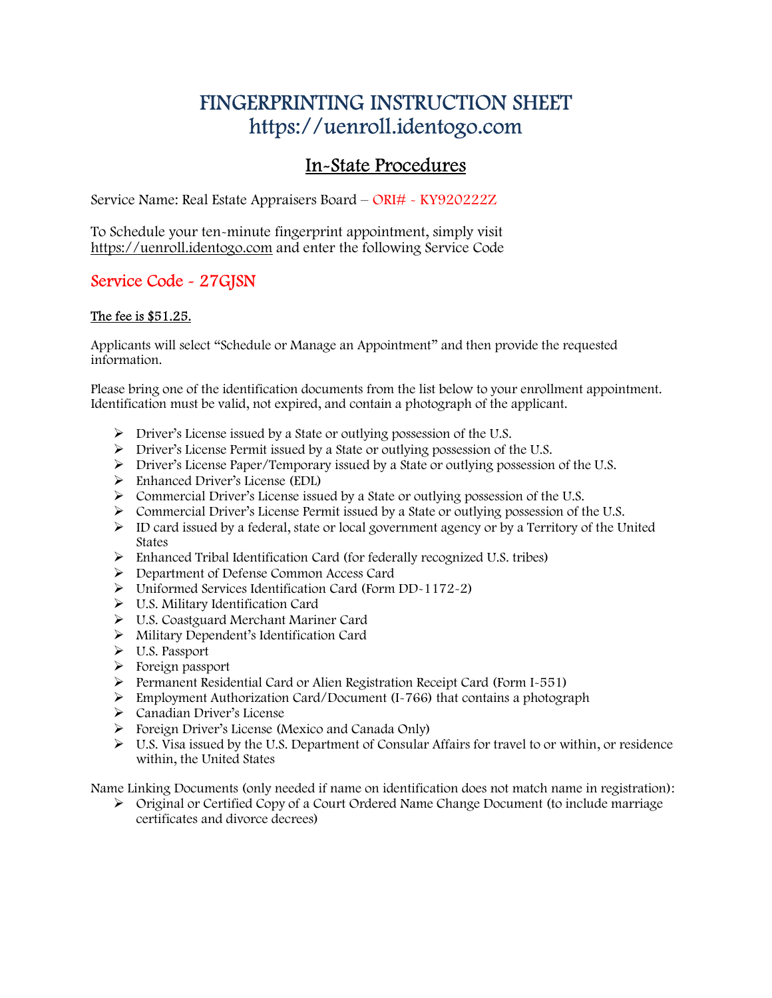# FINGERPRINTING INSTRUCTION SHEET https://uenroll.identogo.com

# In-State Procedures

Service Name: Real Estate Appraisers Board – ORI# - KY920222Z

To Schedule your ten-minute fingerprint appointment, simply visit https://uenroll.identogo.com and enter the following Service Code

### Service Code - 27GJSN

#### The fee is \$51.25.

Applicants will select "Schedule or Manage an Appointment" and then provide the requested information.

Please bring one of the identification documents from the list below to your enrollment appointment. Identification must be valid, not expired, and contain a photograph of the applicant.

- Driver's License issued by a State or outlying possession of the U.S.
- Driver's License Permit issued by a State or outlying possession of the U.S.
- Driver's License Paper/Temporary issued by a State or outlying possession of the U.S.
- Enhanced Driver's License (EDL)
- Commercial Driver's License issued by a State or outlying possession of the U.S.
- Commercial Driver's License Permit issued by a State or outlying possession of the U.S.
- $\triangleright$  ID card issued by a federal, state or local government agency or by a Territory of the United States
- Enhanced Tribal Identification Card (for federally recognized U.S. tribes)
- Department of Defense Common Access Card
- Uniformed Services Identification Card (Form DD-1172-2)
- U.S. Military Identification Card
- U.S. Coastguard Merchant Mariner Card
- Military Dependent's Identification Card
- U.S. Passport
- $\triangleright$  Foreign passport
- $\triangleright$  Permanent Residential Card or Alien Registration Receipt Card (Form I-551)
- $\triangleright$  Employment Authorization Card/Document (I-766) that contains a photograph
- > Canadian Driver's License
- Foreign Driver's License (Mexico and Canada Only)
- $\triangleright$  U.S. Visa issued by the U.S. Department of Consular Affairs for travel to or within, or residence within, the United States

Name Linking Documents (only needed if name on identification does not match name in registration):

 Original or Certified Copy of a Court Ordered Name Change Document (to include marriage certificates and divorce decrees)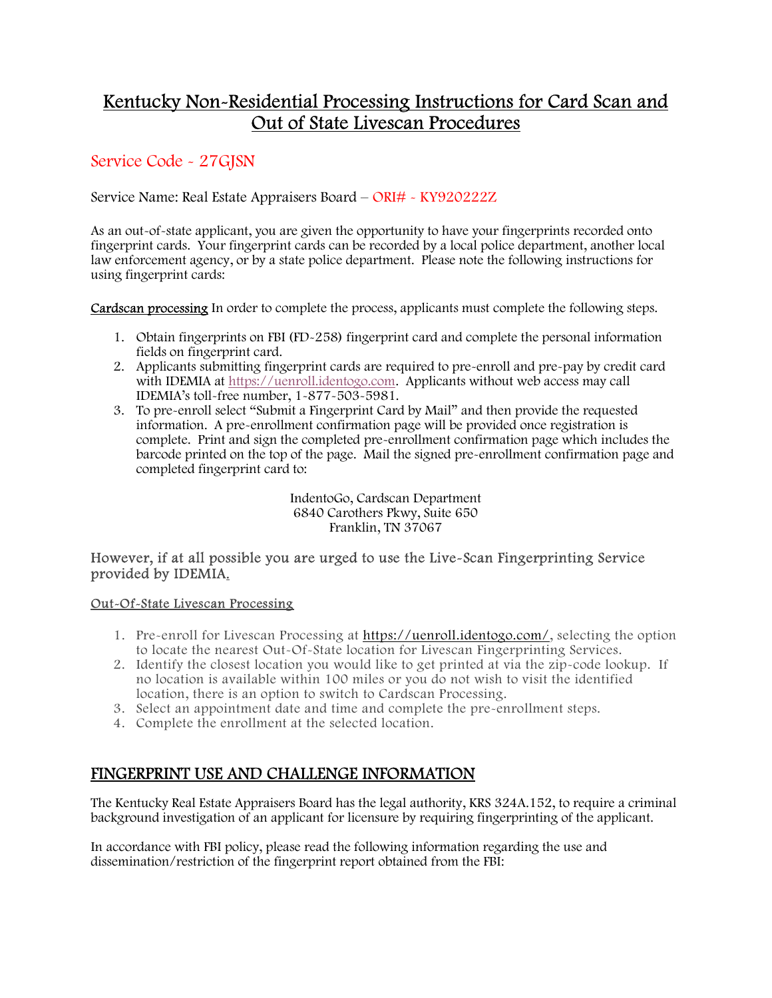## Kentucky Non-Residential Processing Instructions for Card Scan and Out of State Livescan Procedures

### Service Code - 27GJSN

Service Name: Real Estate Appraisers Board – ORI# - KY920222Z

As an out-of-state applicant, you are given the opportunity to have your fingerprints recorded onto fingerprint cards. Your fingerprint cards can be recorded by a local police department, another local law enforcement agency, or by a state police department. Please note the following instructions for using fingerprint cards:

Cardscan processing In order to complete the process, applicants must complete the following steps.

- 1. Obtain fingerprints on FBI (FD-258) fingerprint card and complete the personal information fields on fingerprint card.
- 2. Applicants submitting fingerprint cards are required to pre-enroll and pre-pay by credit card with IDEMIA at https://uenroll.identogo.com. Applicants without web access may call IDEMIA's toll-free number, 1-877-503-5981.
- 3. To pre-enroll select "Submit a Fingerprint Card by Mail" and then provide the requested information. A pre-enrollment confirmation page will be provided once registration is complete. Print and sign the completed pre-enrollment confirmation page which includes the barcode printed on the top of the page. Mail the signed pre-enrollment confirmation page and completed fingerprint card to:

IndentoGo, Cardscan Department 6840 Carothers Pkwy, Suite 650 Franklin, TN 37067

#### However, if at all possible you are urged to use the Live-Scan Fingerprinting Service provided by IDEMIA.

#### Out-Of-State Livescan Processing

- 1. Pre-enroll for Livescan Processing at https://uenroll.identogo.com/, selecting the option to locate the nearest Out-Of-State location for Livescan Fingerprinting Services.
- 2. Identify the closest location you would like to get printed at via the zip-code lookup. If no location is available within 100 miles or you do not wish to visit the identified location, there is an option to switch to Cardscan Processing.
- 3. Select an appointment date and time and complete the pre-enrollment steps.
- 4. Complete the enrollment at the selected location.

### FINGERPRINT USE AND CHALLENGE INFORMATION

The Kentucky Real Estate Appraisers Board has the legal authority, KRS 324A.152, to require a criminal background investigation of an applicant for licensure by requiring fingerprinting of the applicant.

In accordance with FBI policy, please read the following information regarding the use and dissemination/restriction of the fingerprint report obtained from the FBI: